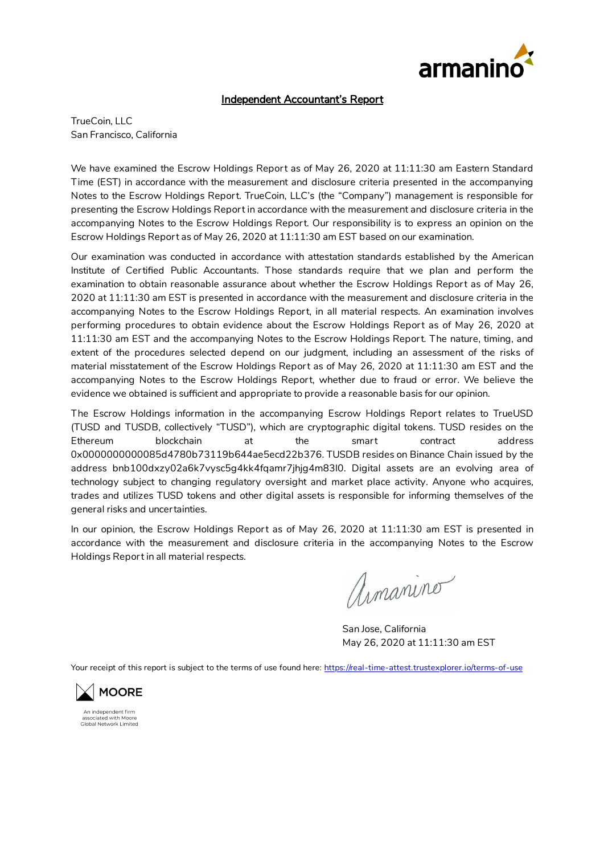

## Independent Accountant's Report

TrueCoin, LLC San Francisco, California

We have examined the Escrow Holdings Report as of May 26, 2020 at 11:11:30 am Eastern Standard Time (EST) in accordance with the measurement and disclosure criteria presented in the accompanying Notes to the Escrow Holdings Report. TrueCoin, LLC's (the "Company") management is responsible for presenting the Escrow Holdings Report in accordance with the measurement and disclosure criteria in the accompanying Notes to the Escrow Holdings Report. Our responsibility is to express an opinion on the Escrow Holdings Report as of May 26, 2020 at 11:11:30 am EST based on our examination.

Our examination was conducted in accordance with attestation standards established by the American Institute of Certified Public Accountants. Those standards require that we plan and perform the examination to obtain reasonable assurance about whether the Escrow Holdings Report as of May 26, 2020 at 11:11:30 am EST is presented in accordance with the measurement and disclosure criteria in the accompanying Notes to the Escrow Holdings Report, in all material respects. An examination involves performing procedures to obtain evidence about the Escrow Holdings Report as of May 26, 2020 at 11:11:30 am EST and the accompanying Notes to the Escrow Holdings Report. The nature, timing, and extent of the procedures selected depend on our judgment, including an assessment of the risks of material misstatement of the Escrow Holdings Report as of May 26, 2020 at 11:11:30 am EST and the accompanying Notes to the Escrow Holdings Report, whether due to fraud or error. We believe the evidence we obtained is sufficient and appropriate to provide a reasonable basis for our opinion.

The Escrow Holdings information in the accompanying Escrow Holdings Report relates to TrueUSD (TUSD and TUSDB, collectively "TUSD"), which are cryptographic digital tokens. TUSD resides on the Ethereum blockchain at the smart contract address 0x0000000000085d4780b73119b644ae5ecd22b376. TUSDB resides on Binance Chain issued by the address bnb100dxzy02a6k7vysc5g4kk4fqamr7jhjg4m83l0. Digital assets are an evolving area of technology subject to changing regulatory oversight and market place activity. Anyone who acquires, trades and utilizes TUSD tokens and other digital assets is responsible for informing themselves of the general risks and uncertainties.

In our opinion, the Escrow Holdings Report as of May 26, 2020 at 11:11:30 am EST is presented in accordance with the measurement and disclosure criteria in the accompanying Notes to the Escrow Holdings Report in all material respects.

Armanino

San Jose, California May 26, 2020 at 11:11:30 am EST

Your receipt of this report is subject to the terms of use found here: <https://real-time-attest.trustexplorer.io/terms-of-use>



An indenendent firm An independent mini-<br>associated with Moore<br>Global Network Limited